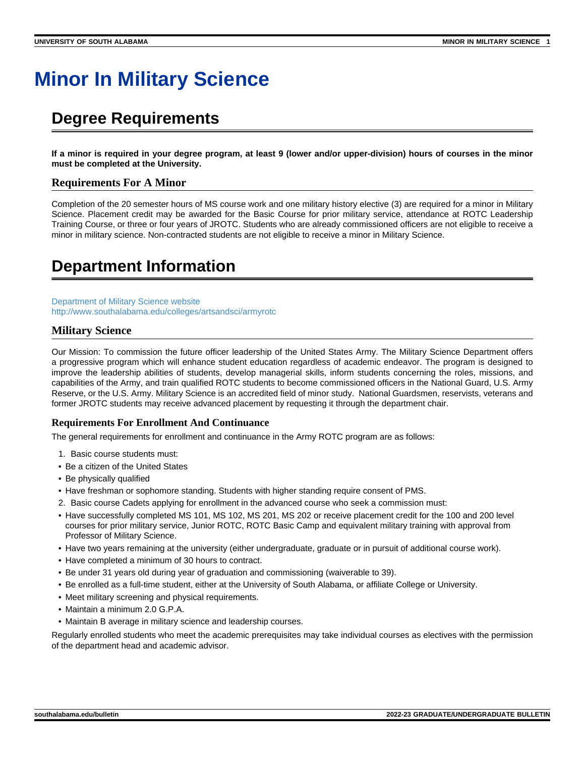# **Minor In Military Science**

# **Degree Requirements**

**If a minor is required in your degree program, at least 9 (lower and/or upper-division) hours of courses in the minor must be completed at the University.**

# **Requirements For A Minor**

Completion of the 20 semester hours of MS course work and one military history elective (3) are required for a minor in Military Science. Placement credit may be awarded for the Basic Course for prior military service, attendance at ROTC Leadership Training Course, or three or four years of JROTC. Students who are already commissioned officers are not eligible to receive a minor in military science. Non-contracted students are not eligible to receive a minor in Military Science.

# **Department Information**

[Department of Military Science website](https://www.southalabama.edu/armyrotc) [http://www.southalabama.edu/colleges/artsandsci/armyrotc](https://www.southalabama.edu/armyrotc)

# **Military Science**

Our Mission: To commission the future officer leadership of the United States Army. The Military Science Department offers a progressive program which will enhance student education regardless of academic endeavor. The program is designed to improve the leadership abilities of students, develop managerial skills, inform students concerning the roles, missions, and capabilities of the Army, and train qualified ROTC students to become commissioned officers in the National Guard, U.S. Army Reserve, or the U.S. Army. Military Science is an accredited field of minor study. National Guardsmen, reservists, veterans and former JROTC students may receive advanced placement by requesting it through the department chair.

# **Requirements For Enrollment And Continuance**

The general requirements for enrollment and continuance in the Army ROTC program are as follows:

- 1. Basic course students must:
- Be a citizen of the United States
- Be physically qualified
- Have freshman or sophomore standing. Students with higher standing require consent of PMS.
- 2. Basic course Cadets applying for enrollment in the advanced course who seek a commission must:
- Have successfully completed MS 101, MS 102, MS 201, MS 202 or receive placement credit for the 100 and 200 level courses for prior military service, Junior ROTC, ROTC Basic Camp and equivalent military training with approval from Professor of Military Science.
- Have two years remaining at the university (either undergraduate, graduate or in pursuit of additional course work).
- Have completed a minimum of 30 hours to contract.
- Be under 31 years old during year of graduation and commissioning (waiverable to 39).
- Be enrolled as a full-time student, either at the University of South Alabama, or affiliate College or University.
- Meet military screening and physical requirements.
- Maintain a minimum 2.0 G.P.A.
- Maintain B average in military science and leadership courses.

Regularly enrolled students who meet the academic prerequisites may take individual courses as electives with the permission of the department head and academic advisor.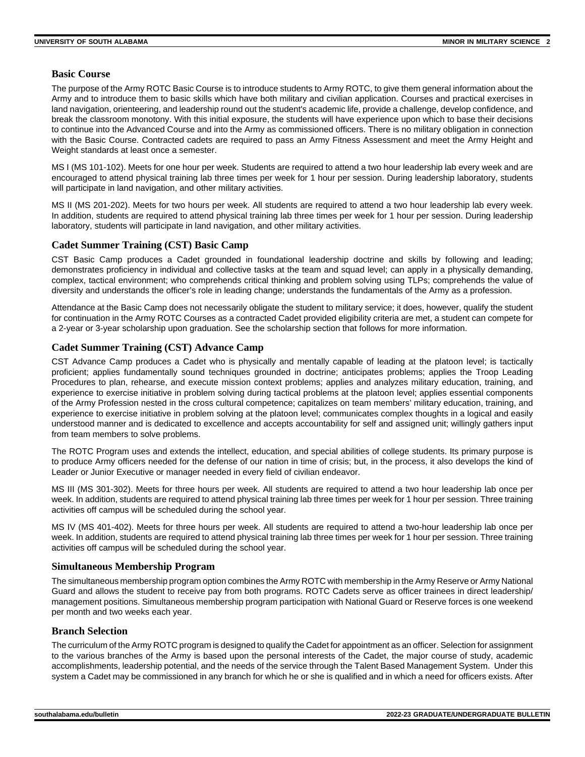# **Basic Course**

The purpose of the Army ROTC Basic Course is to introduce students to Army ROTC, to give them general information about the Army and to introduce them to basic skills which have both military and civilian application. Courses and practical exercises in land navigation, orienteering, and leadership round out the student's academic life, provide a challenge, develop confidence, and break the classroom monotony. With this initial exposure, the students will have experience upon which to base their decisions to continue into the Advanced Course and into the Army as commissioned officers. There is no military obligation in connection with the Basic Course. Contracted cadets are required to pass an Army Fitness Assessment and meet the Army Height and Weight standards at least once a semester.

MS I (MS 101-102). Meets for one hour per week. Students are required to attend a two hour leadership lab every week and are encouraged to attend physical training lab three times per week for 1 hour per session. During leadership laboratory, students will participate in land navigation, and other military activities.

MS II (MS 201-202). Meets for two hours per week. All students are required to attend a two hour leadership lab every week. In addition, students are required to attend physical training lab three times per week for 1 hour per session. During leadership laboratory, students will participate in land navigation, and other military activities.

### **Cadet Summer Training (CST) Basic Camp**

CST Basic Camp produces a Cadet grounded in foundational leadership doctrine and skills by following and leading; demonstrates proficiency in individual and collective tasks at the team and squad level; can apply in a physically demanding, complex, tactical environment; who comprehends critical thinking and problem solving using TLPs; comprehends the value of diversity and understands the officer's role in leading change; understands the fundamentals of the Army as a profession.

Attendance at the Basic Camp does not necessarily obligate the student to military service; it does, however, qualify the student for continuation in the Army ROTC Courses as a contracted Cadet provided eligibility criteria are met, a student can compete for a 2-year or 3-year scholarship upon graduation. See the scholarship section that follows for more information.

# **Cadet Summer Training (CST) Advance Camp**

CST Advance Camp produces a Cadet who is physically and mentally capable of leading at the platoon level; is tactically proficient; applies fundamentally sound techniques grounded in doctrine; anticipates problems; applies the Troop Leading Procedures to plan, rehearse, and execute mission context problems; applies and analyzes military education, training, and experience to exercise initiative in problem solving during tactical problems at the platoon level; applies essential components of the Army Profession nested in the cross cultural competence; capitalizes on team members' military education, training, and experience to exercise initiative in problem solving at the platoon level; communicates complex thoughts in a logical and easily understood manner and is dedicated to excellence and accepts accountability for self and assigned unit; willingly gathers input from team members to solve problems.

The ROTC Program uses and extends the intellect, education, and special abilities of college students. Its primary purpose is to produce Army officers needed for the defense of our nation in time of crisis; but, in the process, it also develops the kind of Leader or Junior Executive or manager needed in every field of civilian endeavor.

MS III (MS 301-302). Meets for three hours per week. All students are required to attend a two hour leadership lab once per week. In addition, students are required to attend physical training lab three times per week for 1 hour per session. Three training activities off campus will be scheduled during the school year.

MS IV (MS 401-402). Meets for three hours per week. All students are required to attend a two-hour leadership lab once per week. In addition, students are required to attend physical training lab three times per week for 1 hour per session. Three training activities off campus will be scheduled during the school year.

#### **Simultaneous Membership Program**

The simultaneous membership program option combines the Army ROTC with membership in the Army Reserve or Army National Guard and allows the student to receive pay from both programs. ROTC Cadets serve as officer trainees in direct leadership/ management positions. Simultaneous membership program participation with National Guard or Reserve forces is one weekend per month and two weeks each year.

# **Branch Selection**

The curriculum of the Army ROTC program is designed to qualify the Cadet for appointment as an officer. Selection for assignment to the various branches of the Army is based upon the personal interests of the Cadet, the major course of study, academic accomplishments, leadership potential, and the needs of the service through the Talent Based Management System. Under this system a Cadet may be commissioned in any branch for which he or she is qualified and in which a need for officers exists. After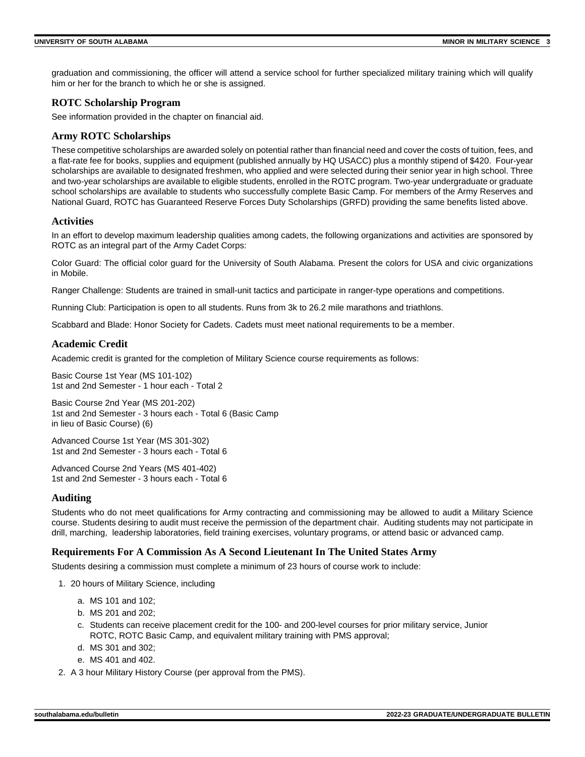graduation and commissioning, the officer will attend a service school for further specialized military training which will qualify him or her for the branch to which he or she is assigned.

# **ROTC Scholarship Program**

See information provided in the chapter on financial aid.

# **Army ROTC Scholarships**

These competitive scholarships are awarded solely on potential rather than financial need and cover the costs of tuition, fees, and a flat-rate fee for books, supplies and equipment (published annually by HQ USACC) plus a monthly stipend of \$420. Four-year scholarships are available to designated freshmen, who applied and were selected during their senior year in high school. Three and two-year scholarships are available to eligible students, enrolled in the ROTC program. Two-year undergraduate or graduate school scholarships are available to students who successfully complete Basic Camp. For members of the Army Reserves and National Guard, ROTC has Guaranteed Reserve Forces Duty Scholarships (GRFD) providing the same benefits listed above.

### **Activities**

In an effort to develop maximum leadership qualities among cadets, the following organizations and activities are sponsored by ROTC as an integral part of the Army Cadet Corps:

Color Guard: The official color guard for the University of South Alabama. Present the colors for USA and civic organizations in Mobile.

Ranger Challenge: Students are trained in small-unit tactics and participate in ranger-type operations and competitions.

Running Club: Participation is open to all students. Runs from 3k to 26.2 mile marathons and triathlons.

Scabbard and Blade: Honor Society for Cadets. Cadets must meet national requirements to be a member.

# **Academic Credit**

Academic credit is granted for the completion of Military Science course requirements as follows:

Basic Course 1st Year (MS 101-102) 1st and 2nd Semester - 1 hour each - Total 2

Basic Course 2nd Year (MS 201-202) 1st and 2nd Semester - 3 hours each - Total 6 (Basic Camp in lieu of Basic Course) (6)

Advanced Course 1st Year (MS 301-302) 1st and 2nd Semester - 3 hours each - Total 6

Advanced Course 2nd Years (MS 401-402) 1st and 2nd Semester - 3 hours each - Total 6

# **Auditing**

Students who do not meet qualifications for Army contracting and commissioning may be allowed to audit a Military Science course. Students desiring to audit must receive the permission of the department chair. Auditing students may not participate in drill, marching, leadership laboratories, field training exercises, voluntary programs, or attend basic or advanced camp.

#### **Requirements For A Commission As A Second Lieutenant In The United States Army**

Students desiring a commission must complete a minimum of 23 hours of course work to include:

- 1. 20 hours of Military Science, including
	- a. MS 101 and 102;
	- b. MS 201 and 202;
	- c. Students can receive placement credit for the 100- and 200-level courses for prior military service, Junior ROTC, ROTC Basic Camp, and equivalent military training with PMS approval;
	- d. MS 301 and 302;
	- e. MS 401 and 402.
- 2. A 3 hour Military History Course (per approval from the PMS).